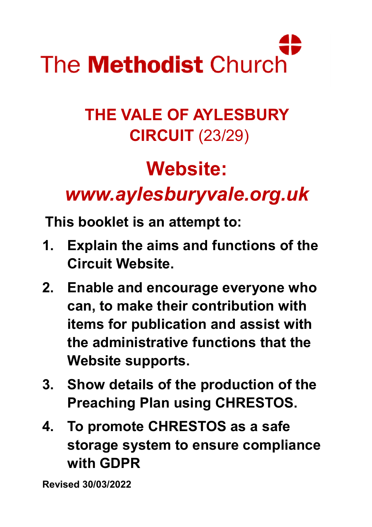

# **THE VALE OF AYLESBURY CIRCUIT** (23/29)

# **Website:**

# *www.aylesburyvale.org.uk*

**This booklet is an attempt to:** 

- **1. Explain the aims and functions of the Circuit Website.**
- **2. Enable and encourage everyone who can, to make their contribution with items for publication and assist with the administrative functions that the Website supports.**
- **3. Show details of the production of the Preaching Plan using CHRESTOS.**
- **4. To promote CHRESTOS as a safe storage system to ensure compliance with GDPR**

**Revised 30/03/2022**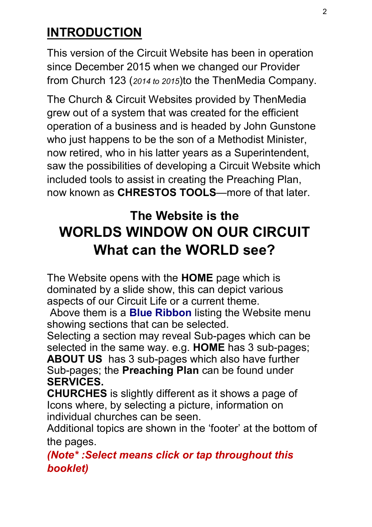## **INTRODUCTION**

This version of the Circuit Website has been in operation since December 2015 when we changed our Provider from Church 123 (*2014 to 2015*)to the ThenMedia Company.

The Church & Circuit Websites provided by ThenMedia grew out of a system that was created for the efficient operation of a business and is headed by John Gunstone who just happens to be the son of a Methodist Minister, now retired, who in his latter years as a Superintendent, saw the possibilities of developing a Circuit Website which included tools to assist in creating the Preaching Plan, now known as **CHRESTOS TOOLS**—more of that later.

# **The Website is the WORLDS WINDOW ON OUR CIRCUIT What can the WORLD see?**

The Website opens with the **HOME** page which is dominated by a slide show, this can depict various aspects of our Circuit Life or a current theme.

Above them is a **Blue Ribbon** listing the Website menu showing sections that can be selected.

Selecting a section may reveal Sub-pages which can be selected in the same way. e.g. **HOME** has 3 sub-pages;

**ABOUT US** has 3 sub-pages which also have further Sub-pages; the **Preaching Plan** can be found under **SERVICES.** 

**CHURCHES** is slightly different as it shows a page of Icons where, by selecting a picture, information on individual churches can be seen.

Additional topics are shown in the 'footer' at the bottom of the pages.

*(Note\* :Select means click or tap throughout this booklet)*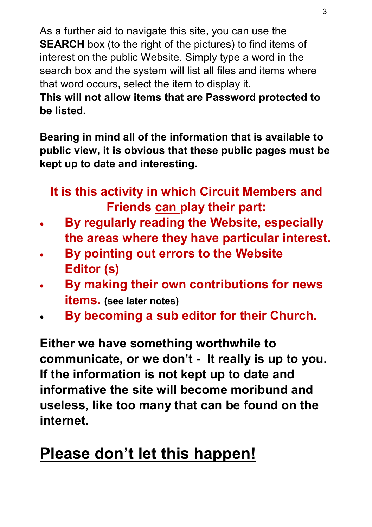As a further aid to navigate this site, you can use the **SEARCH** box (to the right of the pictures) to find items of interest on the public Website. Simply type a word in the search box and the system will list all files and items where that word occurs, select the item to display it.

**This will not allow items that are Password protected to be listed.** 

**Bearing in mind all of the information that is available to public view, it is obvious that these public pages must be kept up to date and interesting.**

**It is this activity in which Circuit Members and Friends can play their part:**

- **By regularly reading the Website, especially the areas where they have particular interest.**
- **By pointing out errors to the Website Editor (s)**
- **By making their own contributions for news items. (see later notes)**
- **By becoming a sub editor for their Church.**

**Either we have something worthwhile to communicate, or we don't - It really is up to you. If the information is not kept up to date and informative the site will become moribund and useless, like too many that can be found on the internet.**

# **Please don't let this happen!**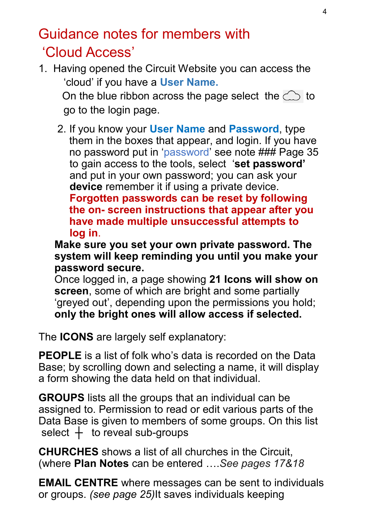# Guidance notes for members with 'Cloud Access'

1. Having opened the Circuit Website you can access the 'cloud' if you have a **User Name.**

On the blue ribbon across the page select the  $\mathbb{C}$  to go to the login page.

2. If you know your **User Name** and **Password**, type them in the boxes that appear, and login. If you have no password put in 'password' see note ### Page 35 to gain access to the tools, select '**set password'** and put in your own password; you can ask your  **device** remember it if using a private device. **Forgotten passwords can be reset by following the on- screen instructions that appear after you have made multiple unsuccessful attempts to log in**.

**Make sure you set your own private password. The system will keep reminding you until you make your password secure.**

Once logged in, a page showing **21 Icons will show on screen**, some of which are bright and some partially 'greyed out', depending upon the permissions you hold; **only the bright ones will allow access if selected.** 

The **ICONS** are largely self explanatory:

**PEOPLE** is a list of folk who's data is recorded on the Data Base; by scrolling down and selecting a name, it will display a form showing the data held on that individual.

**GROUPS** lists all the groups that an individual can be assigned to. Permission to read or edit various parts of the Data Base is given to members of some groups. On this list select **┼** to reveal sub-groups

**CHURCHES** shows a list of all churches in the Circuit, (where **Plan Notes** can be entered ….*See pages 17&18*

**EMAIL CENTRE** where messages can be sent to individuals or groups. *(see page 25)*It saves individuals keeping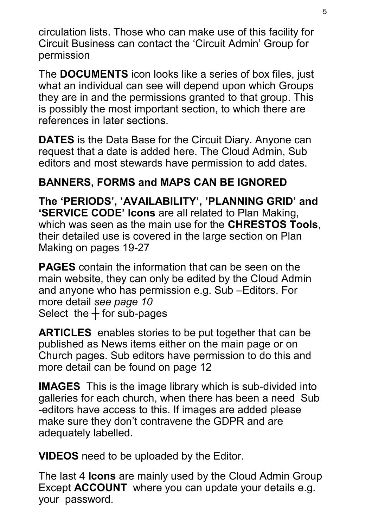circulation lists. Those who can make use of this facility for Circuit Business can contact the 'Circuit Admin' Group for permission

The **DOCUMENTS** icon looks like a series of box files, just what an individual can see will depend upon which Groups they are in and the permissions granted to that group. This is possibly the most important section, to which there are references in later sections.

**DATES** is the Data Base for the Circuit Diary. Anyone can request that a date is added here. The Cloud Admin, Sub editors and most stewards have permission to add dates.

#### **BANNERS, FORMS and MAPS CAN BE IGNORED**

**The 'PERIODS', 'AVAILABILITY', 'PLANNING GRID' and 'SERVICE CODE' Icons** are all related to Plan Making, which was seen as the main use for the **CHRESTOS Tools**, their detailed use is covered in the large section on Plan Making on pages 19-27

**PAGES** contain the information that can be seen on the main website, they can only be edited by the Cloud Admin and anyone who has permission e.g. Sub –Editors. For more detail *see page 10* Select the  $+$  for sub-pages

**ARTICLES** enables stories to be put together that can be published as News items either on the main page or on Church pages. Sub editors have permission to do this and more detail can be found on page 12

**IMAGES** This is the image library which is sub-divided into galleries for each church, when there has been a need Sub -editors have access to this. If images are added please make sure they don't contravene the GDPR and are adequately labelled.

**VIDEOS** need to be uploaded by the Editor.

The last 4 **Icons** are mainly used by the Cloud Admin Group Except **ACCOUNT** where you can update your details e.g. your password.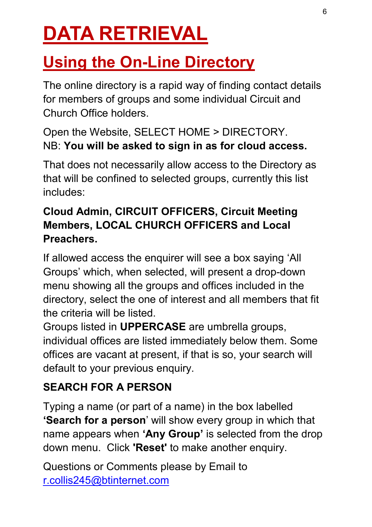# **DATA RETRIEVAL**

# **Using the On-Line Directory**

The online directory is a rapid way of finding contact details for members of groups and some individual Circuit and Church Office holders.

#### Open the Website, SELECT HOME > DIRECTORY. NB: **You will be asked to sign in as for cloud access.**

That does not necessarily allow access to the Directory as that will be confined to selected groups, currently this list includes:

#### **Cloud Admin, CIRCUIT OFFICERS, Circuit Meeting Members, LOCAL CHURCH OFFICERS and Local Preachers.**

If allowed access the enquirer will see a box saying 'All Groups' which, when selected, will present a drop-down menu showing all the groups and offices included in the directory, select the one of interest and all members that fit the criteria will be listed.

Groups listed in **UPPERCASE** are umbrella groups, individual offices are listed immediately below them. Some offices are vacant at present, if that is so, your search will default to your previous enquiry.

#### **SEARCH FOR A PERSON**

Typing a name (or part of a name) in the box labelled **'Search for a person**' will show every group in which that name appears when **'Any Group'** is selected from the drop down menu. Click **'Reset'** to make another enquiry.

Questions or Comments please by Email to [r.collis245@btinternet.com](mailto:r.collis245@btinternet.com)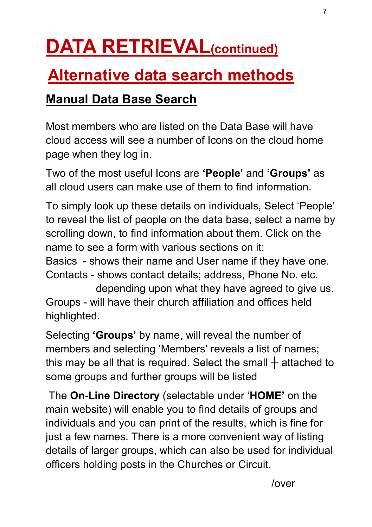# **DATA RETRIEVAL(continued)**

# **Alternative data search methods**

## **Manual Data Base Search**

Most members who are listed on the Data Base will have cloud access will see a number of Icons on the cloud home page when they log in.

Two of the most useful Icons are **'People'** and **'Groups'** as all cloud users can make use of them to find information.

To simply look up these details on individuals, Select 'People' to reveal the list of people on the data base, select a name by scrolling down, to find information about them. Click on the name to see a form with various sections on it:

Basics - shows their name and User name if they have one. Contacts - shows contact details; address, Phone No. etc.

depending upon what they have agreed to give us. Groups - will have their church affiliation and offices held highlighted.

Selecting **'Groups'** by name, will reveal the number of members and selecting 'Members' reveals a list of names; this may be all that is required. Select the small **┼** attached to some groups and further groups will be listed

The **On-Line Directory** (selectable under '**HOME'** on the main website) will enable you to find details of groups and individuals and you can print of the results, which is fine for just a few names. There is a more convenient way of listing details of larger groups, which can also be used for individual officers holding posts in the Churches or Circuit.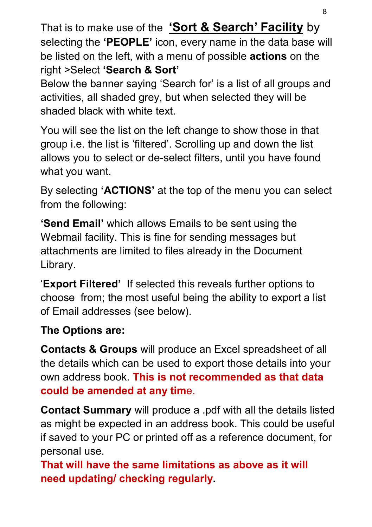That is to make use of the **'Sort & Search' Facility** by selecting the **'PEOPLE'** icon, every name in the data base will be listed on the left, with a menu of possible **actions** on the right >Select **'Search & Sort'**

Below the banner saying 'Search for' is a list of all groups and activities, all shaded grey, but when selected they will be shaded black with white text.

You will see the list on the left change to show those in that group i.e. the list is 'filtered'. Scrolling up and down the list allows you to select or de-select filters, until you have found what you want.

By selecting **'ACTIONS'** at the top of the menu you can select from the following:

**'Send Email'** which allows Emails to be sent using the Webmail facility. This is fine for sending messages but attachments are limited to files already in the Document Library.

'**Export Filtered'** If selected this reveals further options to choose from; the most useful being the ability to export a list of Email addresses (see below).

#### **The Options are:**

**Contacts & Groups** will produce an Excel spreadsheet of all the details which can be used to export those details into your own address book. **This is not recommended as that data could be amended at any tim**e.

**Contact Summary** will produce a .pdf with all the details listed as might be expected in an address book. This could be useful if saved to your PC or printed off as a reference document, for personal use.

**That will have the same limitations as above as it will need updating/ checking regularly.**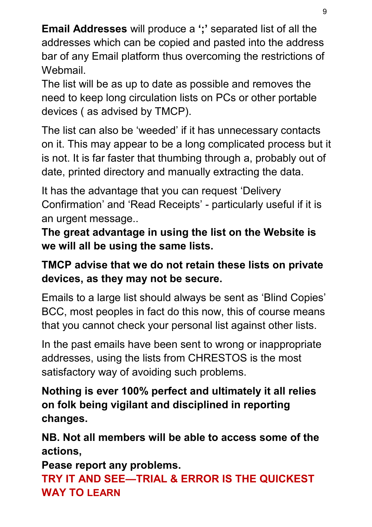**Email Addresses** will produce a **';'** separated list of all the addresses which can be copied and pasted into the address bar of any Email platform thus overcoming the restrictions of Webmail.

The list will be as up to date as possible and removes the need to keep long circulation lists on PCs or other portable devices ( as advised by TMCP).

The list can also be 'weeded' if it has unnecessary contacts on it. This may appear to be a long complicated process but it is not. It is far faster that thumbing through a, probably out of date, printed directory and manually extracting the data.

It has the advantage that you can request 'Delivery Confirmation' and 'Read Receipts' - particularly useful if it is an urgent message..

**The great advantage in using the list on the Website is we will all be using the same lists.**

#### **TMCP advise that we do not retain these lists on private devices, as they may not be secure.**

Emails to a large list should always be sent as 'Blind Copies' BCC, most peoples in fact do this now, this of course means that you cannot check your personal list against other lists.

In the past emails have been sent to wrong or inappropriate addresses, using the lists from CHRESTOS is the most satisfactory way of avoiding such problems.

**Nothing is ever 100% perfect and ultimately it all relies on folk being vigilant and disciplined in reporting changes.**

**NB. Not all members will be able to access some of the actions,**

**Pease report any problems.**

**TRY IT AND SEE—TRIAL & ERROR IS THE QUICKEST WAY TO LEARN**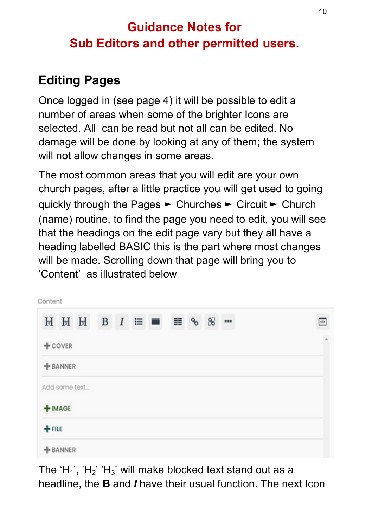#### **Guidance Notes for Sub Editors and other permitted users.**

## **Editing Pages**

Once logged in (see page 4) it will be possible to edit a number of areas when some of the brighter Icons are selected. All can be read but not all can be edited. No damage will be done by looking at any of them; the system will not allow changes in some areas.

The most common areas that you will edit are your own church pages, after a little practice you will get used to going quickly through the Pages ► Churches ► Circuit ► Church (name) routine, to find the page you need to edit, you will see that the headings on the edit page vary but they all have a heading labelled BASIC this is the part where most changes will be made. Scrolling down that page will bring you to 'Content' as illustrated below

| Content  |            |                    |  |  |  |  |            |                |                          |
|----------|------------|--------------------|--|--|--|--|------------|----------------|--------------------------|
|          |            | $H H H B I \equiv$ |  |  |  |  | $\equiv$ % | 8 <sup>7</sup> | <br>$\Phi$               |
|          | $+$ COVER  |                    |  |  |  |  |            |                | $\overline{\phantom{a}}$ |
|          | $+$ BANNER |                    |  |  |  |  |            |                |                          |
|          |            | Add some text      |  |  |  |  |            |                |                          |
|          | $+$ IMAGE  |                    |  |  |  |  |            |                |                          |
| $+$ FILE |            |                    |  |  |  |  |            |                |                          |
|          | $+$ BANNER |                    |  |  |  |  |            |                |                          |

The 'H<sub>1</sub>', 'H<sub>2</sub>' 'H<sub>3</sub>' will make blocked text stand out as a headline, the **B** and *I* have their usual function. The next Icon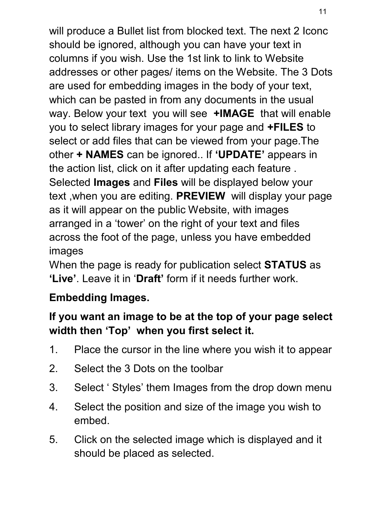will produce a Bullet list from blocked text. The next 2 Iconc should be ignored, although you can have your text in columns if you wish. Use the 1st link to link to Website addresses or other pages/ items on the Website. The 3 Dots are used for embedding images in the body of your text, which can be pasted in from any documents in the usual way. Below your text you will see **+IMAGE** that will enable you to select library images for your page and **+FILES** to select or add files that can be viewed from your page.The other **+ NAMES** can be ignored.. If **'UPDATE'** appears in the action list, click on it after updating each feature . Selected **Images** and **Files** will be displayed below your text ,when you are editing. **PREVIEW** will display your page as it will appear on the public Website, with images arranged in a 'tower' on the right of your text and files across the foot of the page, unless you have embedded images

When the page is ready for publication select **STATUS** as **'Live'**. Leave it in '**Draft'** form if it needs further work.

#### **Embedding Images.**

#### **If you want an image to be at the top of your page select width then 'Top' when you first select it.**

- 1. Place the cursor in the line where you wish it to appear
- 2. Select the 3 Dots on the toolbar
- 3. Select ' Styles' them Images from the drop down menu
- 4. Select the position and size of the image you wish to embed.
- 5. Click on the selected image which is displayed and it should be placed as selected.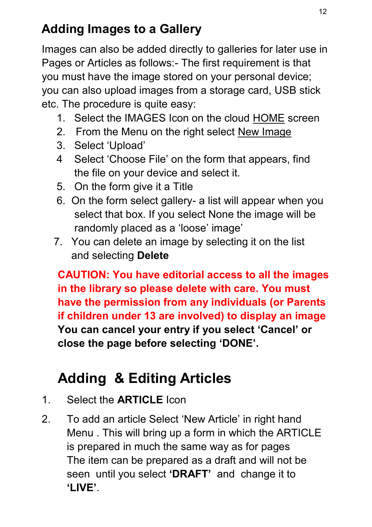# **Adding Images to a Gallery**

Images can also be added directly to galleries for later use in Pages or Articles as follows:- The first requirement is that you must have the image stored on your personal device; you can also upload images from a storage card, USB stick etc. The procedure is quite easy:

- 1. Select the IMAGES Icon on the cloud HOME screen
- 2. From the Menu on the right select New Image
- 3. Select 'Upload'
- 4 Select 'Choose File' on the form that appears, find the file on your device and select it.
- 5. On the form give it a Title
- 6. On the form select gallery- a list will appear when you select that box. If you select None the image will be randomly placed as a 'loose' image'
- 7. You can delete an image by selecting it on the list and selecting **Delete**

**CAUTION: You have editorial access to all the images in the library so please delete with care. You must have the permission from any individuals (or Parents if children under 13 are involved) to display an image You can cancel your entry if you select 'Cancel' or close the page before selecting 'DONE'.**

# **Adding & Editing Articles**

- 1. Select the **ARTICLE** Icon
- 2. To add an article Select 'New Article' in right hand Menu . This will bring up a form in which the ARTICLE is prepared in much the same way as for pages The item can be prepared as a draft and will not be seen until you select **'DRAFT'** and change it to **'LIVE'**.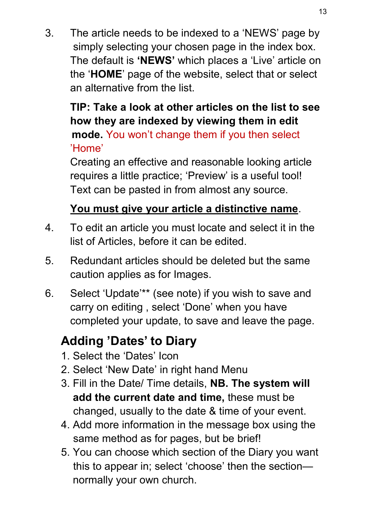3. The article needs to be indexed to a 'NEWS' page by simply selecting your chosen page in the index box. The default is **'NEWS'** which places a 'Live' article on the '**HOME**' page of the website, select that or select an alternative from the list.

#### **TIP: Take a look at other articles on the list to see how they are indexed by viewing them in edit mode.** You won't change them if you then select 'Home'

Creating an effective and reasonable looking article requires a little practice; 'Preview' is a useful tool! Text can be pasted in from almost any source.

#### **You must give your article a distinctive name**.

- 4. To edit an article you must locate and select it in the list of Articles, before it can be edited.
- 5. Redundant articles should be deleted but the same caution applies as for Images.
- 6. Select 'Update'\*\* (see note) if you wish to save and carry on editing , select 'Done' when you have completed your update, to save and leave the page.

# **Adding 'Dates' to Diary**

- 1. Select the 'Dates' Icon
- 2. Select 'New Date' in right hand Menu
- 3. Fill in the Date/ Time details, **NB. The system will add the current date and time,** these must be changed, usually to the date & time of your event.
- 4. Add more information in the message box using the same method as for pages, but be brief!
- 5. You can choose which section of the Diary you want this to appear in; select 'choose' then the section normally your own church.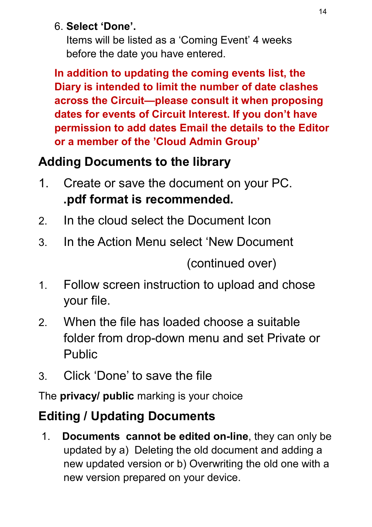#### 6. **Select 'Done'.**

 Items will be listed as a 'Coming Event' 4 weeks before the date you have entered.

**In addition to updating the coming events list, the Diary is intended to limit the number of date clashes across the Circuit—please consult it when proposing dates for events of Circuit Interest. If you don't have permission to add dates Email the details to the Editor or a member of the 'Cloud Admin Group'** 

## **Adding Documents to the library**

- 1. Create or save the document on your PC. **.pdf format is recommended.**
- 2. In the cloud select the Document Icon
- 3. In the Action Menu select 'New Document

(continued over)

- 1. Follow screen instruction to upload and chose your file.
- 2. When the file has loaded choose a suitable folder from drop-down menu and set Private or Public
- 3. Click 'Done' to save the file

The **privacy/ public** marking is your choice

# **Editing / Updating Documents**

1. **Documents cannot be edited on-line**, they can only be updated by a) Deleting the old document and adding a new updated version or b) Overwriting the old one with a new version prepared on your device.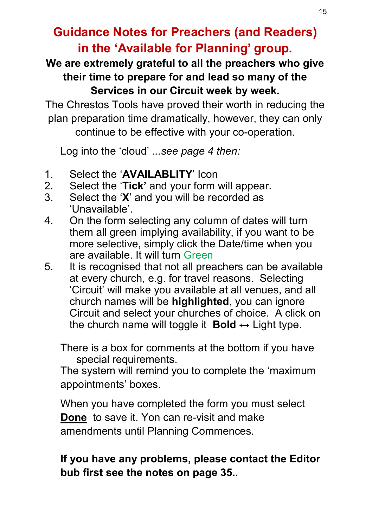#### **Guidance Notes for Preachers (and Readers) in the 'Available for Planning' group.**

#### **We are extremely grateful to all the preachers who give their time to prepare for and lead so many of the Services in our Circuit week by week.**

The Chrestos Tools have proved their worth in reducing the plan preparation time dramatically, however, they can only continue to be effective with your co-operation.

Log into the 'cloud' *...see page 4 then:*

- 1. Select the '**AVAILABLITY**' Icon
- 2. Select the '**Tick'** and your form will appear.
- 3. Select the '**X**' and you will be recorded as 'Unavailable'.
- 4. On the form selecting any column of dates will turn them all green implying availability, if you want to be more selective, simply click the Date/time when you are available. It will turn Green
- 5. It is recognised that not all preachers can be available at every church, e.g. for travel reasons. Selecting 'Circuit' will make you available at all venues, and all church names will be **highlighted**, you can ignore Circuit and select your churches of choice. A click on the church name will toggle it **Bold**  $\leftrightarrow$  Light type.

There is a box for comments at the bottom if you have special requirements.

The system will remind you to complete the 'maximum appointments' boxes.

When you have completed the form you must select **Done** to save it. Yon can re-visit and make amendments until Planning Commences.

#### **If you have any problems, please contact the Editor bub first see the notes on page 35..**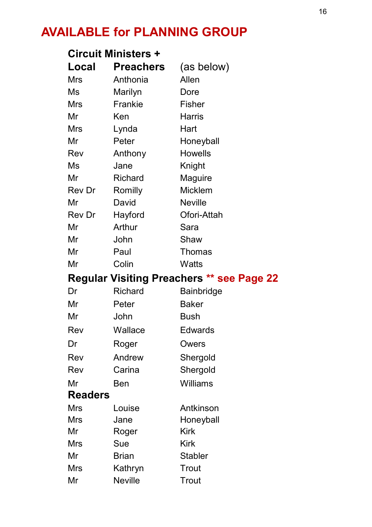# **AVAILABLE for PLANNING GROUP**

| <b>Circuit Ministers +</b>                       |                    |                |  |  |  |  |
|--------------------------------------------------|--------------------|----------------|--|--|--|--|
| Local                                            | <b>Preachers</b>   | (as below)     |  |  |  |  |
| Mrs                                              | Anthonia           | Allen          |  |  |  |  |
| Ms                                               | Marilyn            | Dore           |  |  |  |  |
| Mrs                                              | Frankie            | Fisher         |  |  |  |  |
| Mr                                               | Ken                | Harris         |  |  |  |  |
| Mrs                                              | Lynda              | Hart           |  |  |  |  |
| Mr                                               | Peter              | Honeyball      |  |  |  |  |
| Rev                                              | Anthony            | Howells        |  |  |  |  |
| Ms                                               | Jane               | Knight         |  |  |  |  |
| Mr                                               | Richard            | Maguire        |  |  |  |  |
| Rev Dr                                           | Romilly            | Micklem        |  |  |  |  |
| Mr                                               | David              | <b>Neville</b> |  |  |  |  |
| Rev Dr                                           | Hayford            | Ofori-Attah    |  |  |  |  |
| Mr                                               | Arthur             | Sara           |  |  |  |  |
| Mr                                               | John               | Shaw           |  |  |  |  |
| Mr                                               | Paul               | Thomas         |  |  |  |  |
| Mr                                               | Colin              | Watts          |  |  |  |  |
| <b>Regular Visiting Preachers ** see Page 22</b> |                    |                |  |  |  |  |
| Dr                                               | Richard            | Bainbridge     |  |  |  |  |
| Mr                                               | Peter              | Baker          |  |  |  |  |
| Mr                                               | John               | Bush           |  |  |  |  |
| Rev                                              | Wallace            | Edwards        |  |  |  |  |
| Dr                                               | Roger              |                |  |  |  |  |
|                                                  |                    | Owers          |  |  |  |  |
| Rev                                              | Andrew             | Shergold       |  |  |  |  |
| Rev                                              | Carina             | Shergold       |  |  |  |  |
| Mr                                               | Ben                | Williams       |  |  |  |  |
| <b>Readers</b>                                   |                    |                |  |  |  |  |
| <b>Mrs</b>                                       | Louise             | Antkinson      |  |  |  |  |
| <b>Mrs</b>                                       | Jane               | Honeyball      |  |  |  |  |
| Mr                                               | Roger              | Kirk           |  |  |  |  |
| Mrs                                              | Sue                | Kirk           |  |  |  |  |
| Mr                                               | <b>Brian</b>       | <b>Stabler</b> |  |  |  |  |
| Mrs<br>Mr                                        | Kathryn<br>Neville | Trout<br>Trout |  |  |  |  |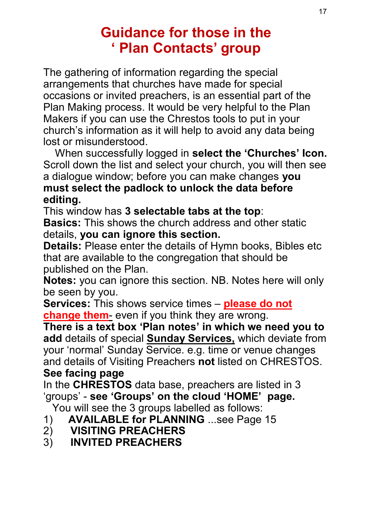# **Guidance for those in the ' Plan Contacts' group**

The gathering of information regarding the special arrangements that churches have made for special occasions or invited preachers, is an essential part of the Plan Making process. It would be very helpful to the Plan Makers if you can use the Chrestos tools to put in your church's information as it will help to avoid any data being lost or misunderstood.

 When successfully logged in **select the 'Churches' Icon.**  Scroll down the list and select your church, you will then see a dialogue window; before you can make changes **you must select the padlock to unlock the data before editing.**

This window has **3 selectable tabs at the top**:

**Basics:** This shows the church address and other static details, **you can ignore this section.** 

**Details:** Please enter the details of Hymn books, Bibles etc that are available to the congregation that should be published on the Plan.

**Notes:** you can ignore this section. NB. Notes here will only be seen by you.

**Services:** This shows service times – **please do not change them**- even if you think they are wrong.

**There is a text box 'Plan notes' in which we need you to add** details of special **Sunday Services,** which deviate from your 'normal' Sunday Service. e.g. time or venue changes and details of Visiting Preachers **not** listed on CHRESTOS. **See facing page**

In the **CHRESTOS** data base, preachers are listed in 3 'groups' - **see 'Groups' on the cloud 'HOME' page.**

You will see the 3 groups labelled as follows:

- 1) **AVAILABLE for PLANNING** ...see Page 15
- 2) **VISITING PREACHERS**
- 3) **INVITED PREACHERS**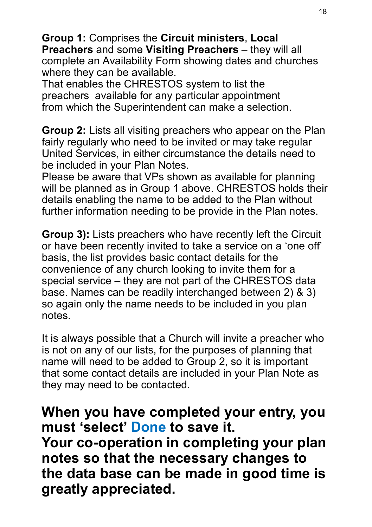**Group 1:** Comprises the **Circuit ministers**, **Local Preachers** and some **Visiting Preachers** – they will all complete an Availability Form showing dates and churches where they can be available.

That enables the CHRESTOS system to list the preachers available for any particular appointment from which the Superintendent can make a selection.

**Group 2:** Lists all visiting preachers who appear on the Plan fairly regularly who need to be invited or may take regular United Services, in either circumstance the details need to be included in your Plan Notes.

Please be aware that VPs shown as available for planning will be planned as in Group 1 above. CHRESTOS holds their details enabling the name to be added to the Plan without further information needing to be provide in the Plan notes.

**Group 3):** Lists preachers who have recently left the Circuit or have been recently invited to take a service on a 'one off' basis, the list provides basic contact details for the convenience of any church looking to invite them for a special service – they are not part of the CHRESTOS data base. Names can be readily interchanged between 2) & 3) so again only the name needs to be included in you plan notes.

It is always possible that a Church will invite a preacher who is not on any of our lists, for the purposes of planning that name will need to be added to Group 2, so it is important that some contact details are included in your Plan Note as they may need to be contacted.

**When you have completed your entry, you must 'select' Done to save it. Your co-operation in completing your plan notes so that the necessary changes to the data base can be made in good time is greatly appreciated.**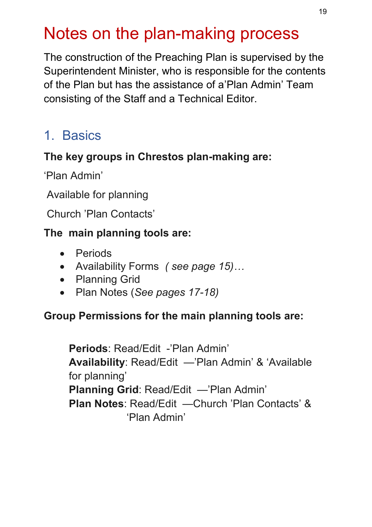# Notes on the plan-making process

The construction of the Preaching Plan is supervised by the Superintendent Minister, who is responsible for the contents of the Plan but has the assistance of a'Plan Admin' Team consisting of the Staff and a Technical Editor.

# 1. Basics

#### **The key groups in Chrestos plan-making are:**

'Plan Admin'

Available for planning

Church 'Plan Contacts'

#### **The main planning tools are:**

- Periods
- Availability Forms *( see page 15)…*
- Planning Grid
- Plan Notes (*See pages 17-18)*

#### **Group Permissions for the main planning tools are:**

**Periods**: Read/Edit -'Plan Admin' **Availability**: Read/Edit —'Plan Admin' & 'Available for planning' **Planning Grid**: Read/Edit —'Plan Admin' **Plan Notes**: Read/Edit —Church 'Plan Contacts' & 'Plan Admin'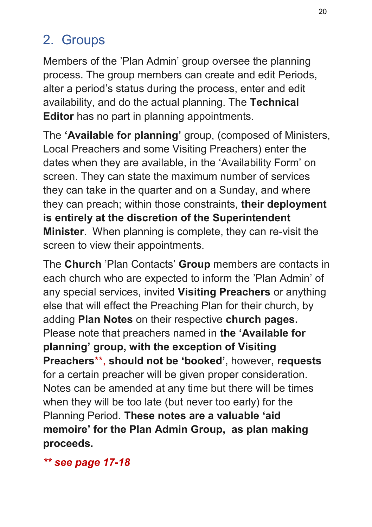# 2. Groups

Members of the 'Plan Admin' group oversee the planning process. The group members can create and edit Periods, alter a period's status during the process, enter and edit availability, and do the actual planning. The **Technical Editor** has no part in planning appointments.

The **'Available for planning'** group, (composed of Ministers, Local Preachers and some Visiting Preachers) enter the dates when they are available, in the 'Availability Form' on screen. They can state the maximum number of services they can take in the quarter and on a Sunday, and where they can preach; within those constraints, **their deployment is entirely at the discretion of the Superintendent Minister**. When planning is complete, they can re-visit the screen to view their appointments.

The **Church** 'Plan Contacts' **Group** members are contacts in each church who are expected to inform the 'Plan Admin' of any special services, invited **Visiting Preachers** or anything else that will effect the Preaching Plan for their church, by adding **Plan Notes** on their respective **church pages.**  Please note that preachers named in **the 'Available for planning' group, with the exception of Visiting Preachers**\*\*, **should not be 'booked'**, however, **requests**  for a certain preacher will be given proper consideration. Notes can be amended at any time but there will be times when they will be too late (but never too early) for the Planning Period. **These notes are a valuable 'aid memoire' for the Plan Admin Group, as plan making proceeds.** 

*\*\* see page 17-18*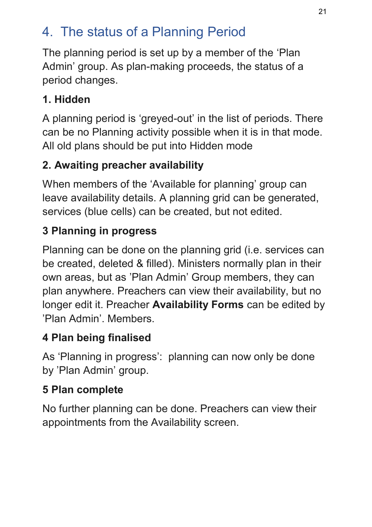# 4. The status of a Planning Period

The planning period is set up by a member of the 'Plan Admin' group. As plan-making proceeds, the status of a period changes.

#### **1. Hidden**

A planning period is 'greyed-out' in the list of periods. There can be no Planning activity possible when it is in that mode. All old plans should be put into Hidden mode

## **2. Awaiting preacher availability**

When members of the 'Available for planning' group can leave availability details. A planning grid can be generated, services (blue cells) can be created, but not edited.

## **3 Planning in progress**

Planning can be done on the planning grid (i.e. services can be created, deleted & filled). Ministers normally plan in their own areas, but as 'Plan Admin' Group members, they can plan anywhere. Preachers can view their availability, but no longer edit it. Preacher **Availability Forms** can be edited by 'Plan Admin'. Members.

## **4 Plan being finalised**

As 'Planning in progress': planning can now only be done by 'Plan Admin' group.

#### **5 Plan complete**

No further planning can be done. Preachers can view their appointments from the Availability screen.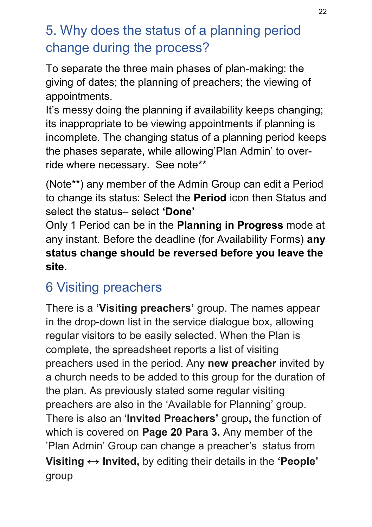# 5. Why does the status of a planning period change during the process?

To separate the three main phases of plan-making: the giving of dates; the planning of preachers; the viewing of appointments.

It's messy doing the planning if availability keeps changing; its inappropriate to be viewing appointments if planning is incomplete. The changing status of a planning period keeps the phases separate, while allowing'Plan Admin' to override where necessary. See note\*\*

(Note\*\*) any member of the Admin Group can edit a Period to change its status: Select the **Period** icon then Status and select the status– select **'Done'** 

Only 1 Period can be in the **Planning in Progress** mode at any instant. Before the deadline (for Availability Forms) **any status change should be reversed before you leave the site.**

# 6 Visiting preachers

There is a **'Visiting preachers'** group. The names appear in the drop-down list in the service dialogue box, allowing regular visitors to be easily selected. When the Plan is complete, the spreadsheet reports a list of visiting preachers used in the period. Any **new preacher** invited by a church needs to be added to this group for the duration of the plan. As previously stated some regular visiting preachers are also in the 'Available for Planning' group. There is also an '**Invited Preachers'** group**,** the function of which is covered on **Page 20 Para 3.** Any member of the 'Plan Admin' Group can change a preacher's status from **Visiting ↔ Invited,** by editing their details in the **'People'**  group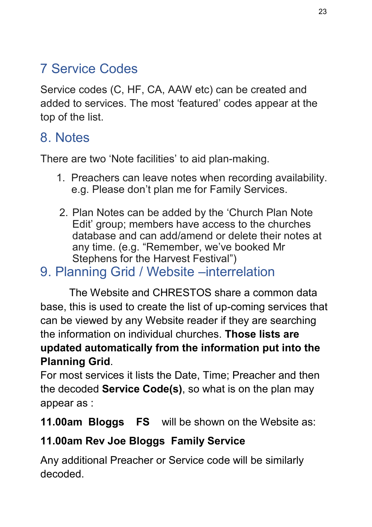# 7 Service Codes

Service codes (C, HF, CA, AAW etc) can be created and added to services. The most 'featured' codes appear at the top of the list.

#### 8. Notes

There are two 'Note facilities' to aid plan-making.

- 1. Preachers can leave notes when recording availability. e.g. Please don't plan me for Family Services.
- 2. Plan Notes can be added by the 'Church Plan Note Edit' group; members have access to the churches database and can add/amend or delete their notes at any time. (e.g. "Remember, we've booked Mr Stephens for the Harvest Festival")

#### 9. Planning Grid / Website –interrelation

The Website and CHRESTOS share a common data base, this is used to create the list of up-coming services that can be viewed by any Website reader if they are searching the information on individual churches. **Those lists are updated automatically from the information put into the Planning Grid**.

For most services it lists the Date, Time; Preacher and then the decoded **Service Code(s)**, so what is on the plan may appear as :

**11.00am Bloggs FS** will be shown on the Website as:

#### **11.00am Rev Joe Bloggs Family Service**

Any additional Preacher or Service code will be similarly decoded.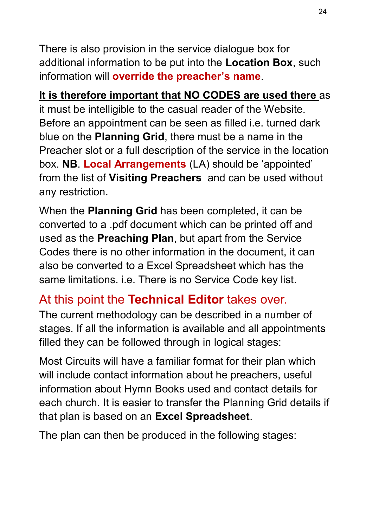There is also provision in the service dialogue box for additional information to be put into the **Location Box**, such information will **override the preacher's name**.

**It is therefore important that NO CODES are used there** as it must be intelligible to the casual reader of the Website. Before an appointment can be seen as filled i.e. turned dark blue on the **Planning Grid**, there must be a name in the Preacher slot or a full description of the service in the location box. **NB**. **Local Arrangements** (LA) should be 'appointed' from the list of **Visiting Preachers** and can be used without any restriction.

When the **Planning Grid** has been completed, it can be converted to a .pdf document which can be printed off and used as the **Preaching Plan**, but apart from the Service Codes there is no other information in the document, it can also be converted to a Excel Spreadsheet which has the same limitations. i.e. There is no Service Code key list.

#### At this point the **Technical Editor** takes over.

The current methodology can be described in a number of stages. If all the information is available and all appointments filled they can be followed through in logical stages:

Most Circuits will have a familiar format for their plan which will include contact information about he preachers, useful information about Hymn Books used and contact details for each church. It is easier to transfer the Planning Grid details if that plan is based on an **Excel Spreadsheet**.

The plan can then be produced in the following stages: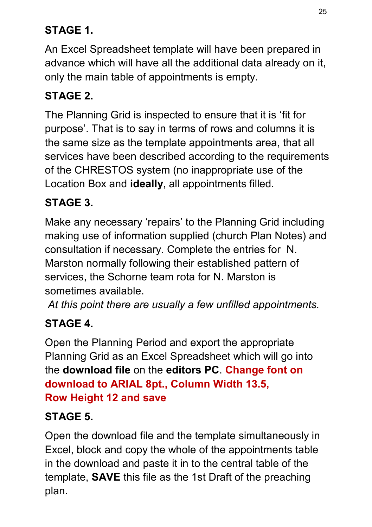## **STAGE 1.**

An Excel Spreadsheet template will have been prepared in advance which will have all the additional data already on it, only the main table of appointments is empty.

#### **STAGE 2.**

The Planning Grid is inspected to ensure that it is 'fit for purpose'. That is to say in terms of rows and columns it is the same size as the template appointments area, that all services have been described according to the requirements of the CHRESTOS system (no inappropriate use of the Location Box and **ideally**, all appointments filled.

#### **STAGE 3.**

Make any necessary 'repairs' to the Planning Grid including making use of information supplied (church Plan Notes) and consultation if necessary. Complete the entries for N. Marston normally following their established pattern of services, the Schorne team rota for N. Marston is sometimes available.

*At this point there are usually a few unfilled appointments.*

#### **STAGE 4.**

Open the Planning Period and export the appropriate Planning Grid as an Excel Spreadsheet which will go into the **download file** on the **editors PC**. **Change font on download to ARIAL 8pt., Column Width 13.5, Row Height 12 and save**

#### **STAGE 5.**

Open the download file and the template simultaneously in Excel, block and copy the whole of the appointments table in the download and paste it in to the central table of the template, **SAVE** this file as the 1st Draft of the preaching plan.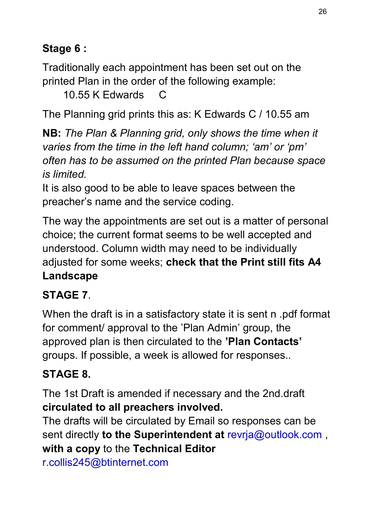#### **Stage 6 :**

Traditionally each appointment has been set out on the printed Plan in the order of the following example:

10.55 K Edwards C

The Planning grid prints this as: K Edwards C / 10.55 am

**NB:** *The Plan & Planning grid, only shows the time when it varies from the time in the left hand column; 'am' or 'pm' often has to be assumed on the printed Plan because space is limited.* 

It is also good to be able to leave spaces between the preacher's name and the service coding.

The way the appointments are set out is a matter of personal choice; the current format seems to be well accepted and understood. Column width may need to be individually adjusted for some weeks; **check that the Print still fits A4 Landscape** 

#### **STAGE 7**.

When the draft is in a satisfactory state it is sent n .pdf format for comment/ approval to the 'Plan Admin' group, the approved plan is then circulated to the **'Plan Contacts'**  groups. If possible, a week is allowed for responses..

#### **STAGE 8.**

The 1st Draft is amended if necessary and the 2nd.draft **circulated to all preachers involved.** 

The drafts will be circulated by Email so responses can be sent directly **to the Superintendent at** revrja@outlook.com , **with a copy** to the **Technical Editor** 

r.collis245@btinternet.com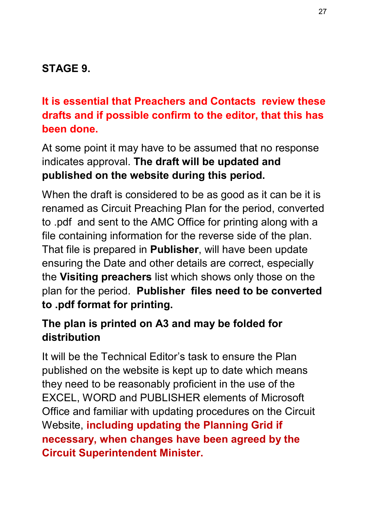#### **STAGE 9.**

#### **It is essential that Preachers and Contacts review these drafts and if possible confirm to the editor, that this has been done.**

At some point it may have to be assumed that no response indicates approval. **The draft will be updated and published on the website during this period.** 

When the draft is considered to be as good as it can be it is renamed as Circuit Preaching Plan for the period, converted to .pdf and sent to the AMC Office for printing along with a file containing information for the reverse side of the plan. That file is prepared in **Publisher**, will have been update ensuring the Date and other details are correct, especially the **Visiting preachers** list which shows only those on the plan for the period. **Publisher files need to be converted to .pdf format for printing.**

#### **The plan is printed on A3 and may be folded for distribution**

It will be the Technical Editor's task to ensure the Plan published on the website is kept up to date which means they need to be reasonably proficient in the use of the EXCEL, WORD and PUBLISHER elements of Microsoft Office and familiar with updating procedures on the Circuit Website, **including updating the Planning Grid if necessary, when changes have been agreed by the Circuit Superintendent Minister.**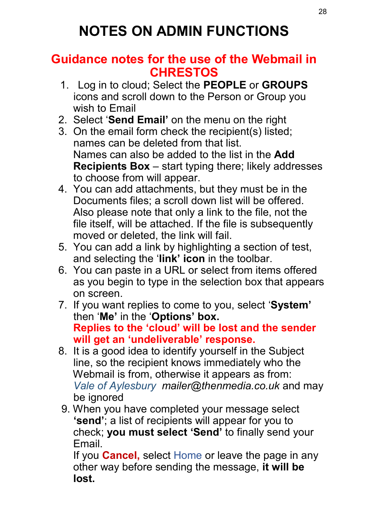#### **Guidance notes for the use of the Webmail in CHRESTOS**

- 1. Log in to cloud; Select the **PEOPLE** or **GROUPS** icons and scroll down to the Person or Group you wish to Email
- 2. Select '**Send Email'** on the menu on the right
- 3. On the email form check the recipient(s) listed; names can be deleted from that list. Names can also be added to the list in the **Add Recipients Box** – start typing there; likely addresses to choose from will appear.
- 4. You can add attachments, but they must be in the Documents files; a scroll down list will be offered. Also please note that only a link to the file, not the file itself, will be attached. If the file is subsequently moved or deleted, the link will fail.
- 5. You can add a link by highlighting a section of test, and selecting the '**link' icon** in the toolbar.
- 6. You can paste in a URL or select from items offered as you begin to type in the selection box that appears on screen.
- 7. If you want replies to come to you, select '**System'** then '**Me'** in the '**Options' box. Replies to the 'cloud' will be lost and the sender will get an 'undeliverable' response.**
- 8. It is a good idea to identify yourself in the Subject line, so the recipient knows immediately who the Webmail is from, otherwise it appears as from: *Vale of Aylesbury mailer@thenmedia.co.uk* and may be ignored
- 9. When you have completed your message select **'send'**; a list of recipients will appear for you to check; **you must select 'Send'** to finally send your Email.

 If you **Cancel,** select Home or leave the page in any other way before sending the message, **it will be lost.**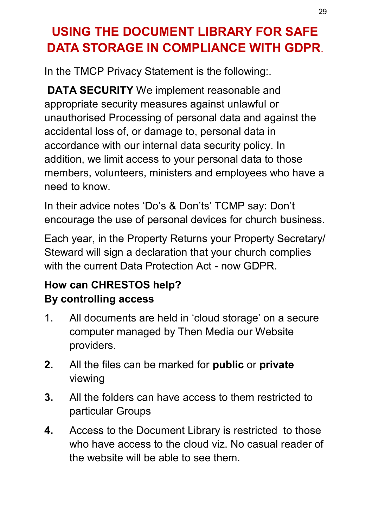# **USING THE DOCUMENT LIBRARY FOR SAFE DATA STORAGE IN COMPLIANCE WITH GDPR**.

In the TMCP Privacy Statement is the following:.

**DATA SECURITY** We implement reasonable and appropriate security measures against unlawful or unauthorised Processing of personal data and against the accidental loss of, or damage to, personal data in accordance with our internal data security policy. In addition, we limit access to your personal data to those members, volunteers, ministers and employees who have a need to know.

In their advice notes 'Do's & Don'ts' TCMP say: Don't encourage the use of personal devices for church business.

Each year, in the Property Returns your Property Secretary/ Steward will sign a declaration that your church complies with the current Data Protection Act - now GDPR

#### **How can CHRESTOS help? By controlling access**

- 1. All documents are held in 'cloud storage' on a secure computer managed by Then Media our Website providers.
- **2.** All the files can be marked for **public** or **private**  viewing
- **3.** All the folders can have access to them restricted to particular Groups
- **4.** Access to the Document Library is restricted to those who have access to the cloud viz. No casual reader of the website will be able to see them.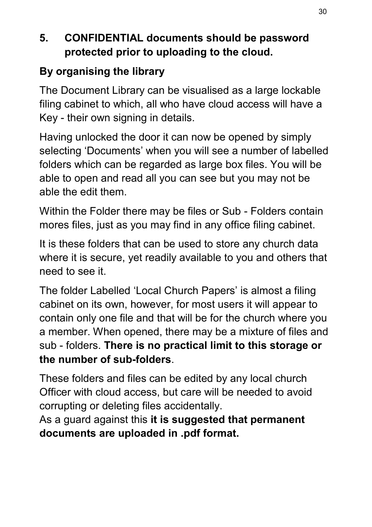#### **5. CONFIDENTIAL documents should be password protected prior to uploading to the cloud.**

#### **By organising the library**

The Document Library can be visualised as a large lockable filing cabinet to which, all who have cloud access will have a Key - their own signing in details.

Having unlocked the door it can now be opened by simply selecting 'Documents' when you will see a number of labelled folders which can be regarded as large box files. You will be able to open and read all you can see but you may not be able the edit them.

Within the Folder there may be files or Sub - Folders contain mores files, just as you may find in any office filing cabinet.

It is these folders that can be used to store any church data where it is secure, yet readily available to you and others that need to see it.

The folder Labelled 'Local Church Papers' is almost a filing cabinet on its own, however, for most users it will appear to contain only one file and that will be for the church where you a member. When opened, there may be a mixture of files and sub - folders. **There is no practical limit to this storage or the number of sub-folders**.

These folders and files can be edited by any local church Officer with cloud access, but care will be needed to avoid corrupting or deleting files accidentally.

As a guard against this **it is suggested that permanent documents are uploaded in .pdf format.**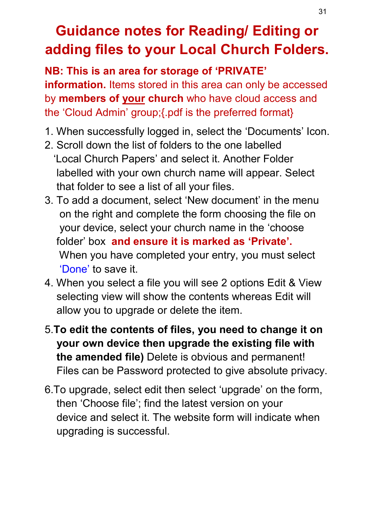# **Guidance notes for Reading/ Editing or adding files to your Local Church Folders.**

**NB: This is an area for storage of 'PRIVATE' information.** Items stored in this area can only be accessed by **members of your church** who have cloud access and the 'Cloud Admin' group;{.pdf is the preferred format}

- 1. When successfully logged in, select the 'Documents' Icon.
- 2. Scroll down the list of folders to the one labelled 'Local Church Papers' and select it. Another Folder labelled with your own church name will appear. Select that folder to see a list of all your files.
- 3. To add a document, select 'New document' in the menu on the right and complete the form choosing the file on your device, select your church name in the 'choose folder' box **and ensure it is marked as 'Private'.** When you have completed your entry, you must select 'Done' to save it.
- 4. When you select a file you will see 2 options Edit & View selecting view will show the contents whereas Edit will allow you to upgrade or delete the item.
- 5.**To edit the contents of files, you need to change it on your own device then upgrade the existing file with the amended file)** Delete is obvious and permanent! Files can be Password protected to give absolute privacy.
- 6.To upgrade, select edit then select 'upgrade' on the form, then 'Choose file'; find the latest version on your device and select it. The website form will indicate when upgrading is successful.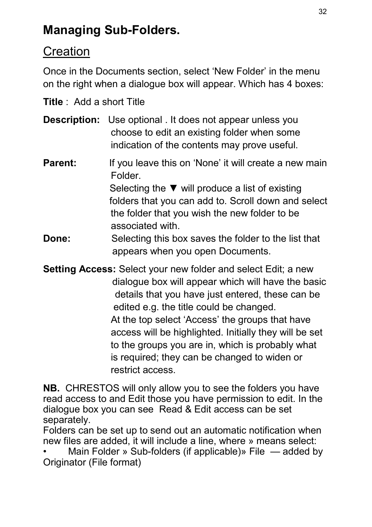# **Managing Sub-Folders.**

#### **Creation**

Once in the Documents section, select 'New Folder' in the menu on the right when a dialogue box will appear. Which has 4 boxes:

**Title** : Add a short Title

- **Description:** Use optional . It does not appear unless you choose to edit an existing folder when some indication of the contents may prove useful.
- **Parent:** If you leave this on 'None' it will create a new main Folder. Selecting the ▼ will produce a list of existing folders that you can add to. Scroll down and select the folder that you wish the new folder to be associated with.
- **Done:** Selecting this box saves the folder to the list that appears when you open Documents.

**Setting Access:** Select your new folder and select Edit; a new dialogue box will appear which will have the basic details that you have just entered, these can be edited e.g. the title could be changed. At the top select 'Access' the groups that have access will be highlighted. Initially they will be set to the groups you are in, which is probably what is required; they can be changed to widen or restrict access.

**NB.** CHRESTOS will only allow you to see the folders you have read access to and Edit those you have permission to edit. In the dialogue box you can see Read & Edit access can be set separately.

Folders can be set up to send out an automatic notification when new files are added, it will include a line, where » means select:

• Main Folder » Sub-folders (if applicable)» File — added by Originator (File format)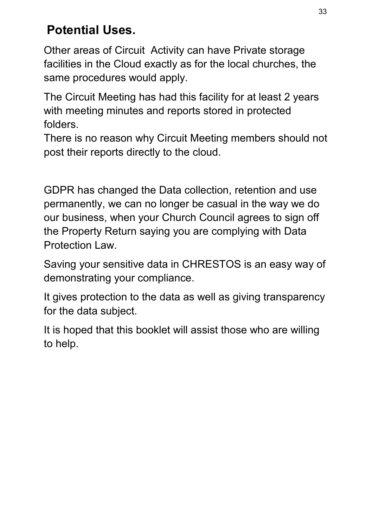# **Potential Uses.**

Other areas of Circuit Activity can have Private storage facilities in the Cloud exactly as for the local churches, the same procedures would apply.

The Circuit Meeting has had this facility for at least 2 years with meeting minutes and reports stored in protected folders.

There is no reason why Circuit Meeting members should not post their reports directly to the cloud.

GDPR has changed the Data collection, retention and use permanently, we can no longer be casual in the way we do our business, when your Church Council agrees to sign off the Property Return saying you are complying with Data Protection Law.

Saving your sensitive data in CHRESTOS is an easy way of demonstrating your compliance.

It gives protection to the data as well as giving transparency for the data subject.

It is hoped that this booklet will assist those who are willing to help.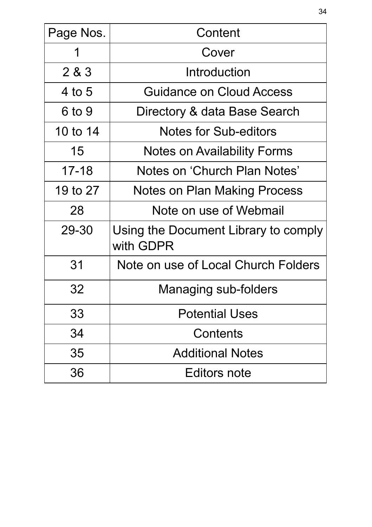| Page Nos. | Content                                           |  |  |  |  |  |
|-----------|---------------------------------------------------|--|--|--|--|--|
| 1         | Cover                                             |  |  |  |  |  |
| 2 & 3     | Introduction                                      |  |  |  |  |  |
| 4 to $5$  | Guidance on Cloud Access                          |  |  |  |  |  |
| 6 to 9    | Directory & data Base Search                      |  |  |  |  |  |
| 10 to 14  | <b>Notes for Sub-editors</b>                      |  |  |  |  |  |
| 15        | <b>Notes on Availability Forms</b>                |  |  |  |  |  |
| $17 - 18$ | Notes on 'Church Plan Notes'                      |  |  |  |  |  |
| 19 to 27  | Notes on Plan Making Process                      |  |  |  |  |  |
| 28        | Note on use of Webmail                            |  |  |  |  |  |
| 29-30     | Using the Document Library to comply<br>with GDPR |  |  |  |  |  |
| 31        | Note on use of Local Church Folders               |  |  |  |  |  |
| 32        | Managing sub-folders                              |  |  |  |  |  |
| 33        | <b>Potential Uses</b>                             |  |  |  |  |  |
| 34        | Contents                                          |  |  |  |  |  |
| 35        | <b>Additional Notes</b>                           |  |  |  |  |  |
| 36        | Editors note                                      |  |  |  |  |  |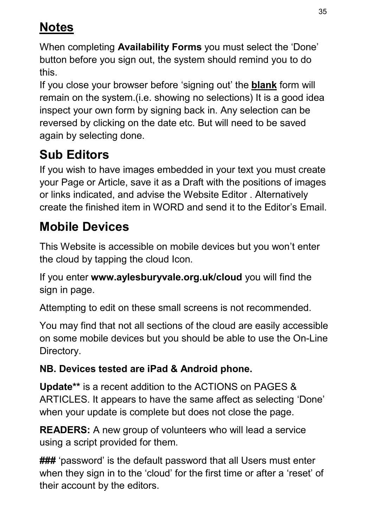# **Notes**

When completing **Availability Forms** you must select the 'Done' button before you sign out, the system should remind you to do this.

If you close your browser before 'signing out' the **blank** form will remain on the system.(i.e. showing no selections) It is a good idea inspect your own form by signing back in. Any selection can be reversed by clicking on the date etc. But will need to be saved again by selecting done.

# **Sub Editors**

If you wish to have images embedded in your text you must create your Page or Article, save it as a Draft with the positions of images or links indicated, and advise the Website Editor . Alternatively create the finished item in WORD and send it to the Editor's Email.

# **Mobile Devices**

This Website is accessible on mobile devices but you won't enter the cloud by tapping the cloud Icon.

If you enter **www.aylesburyvale.org.uk/cloud** you will find the sign in page.

Attempting to edit on these small screens is not recommended.

You may find that not all sections of the cloud are easily accessible on some mobile devices but you should be able to use the On-Line Directory.

#### **NB. Devices tested are iPad & Android phone.**

**Update\*\*** is a recent addition to the ACTIONS on PAGES & ARTICLES. It appears to have the same affect as selecting 'Done' when your update is complete but does not close the page.

**READERS:** A new group of volunteers who will lead a service using a script provided for them.

**###** 'password' is the default password that all Users must enter when they sign in to the 'cloud' for the first time or after a 'reset' of their account by the editors.